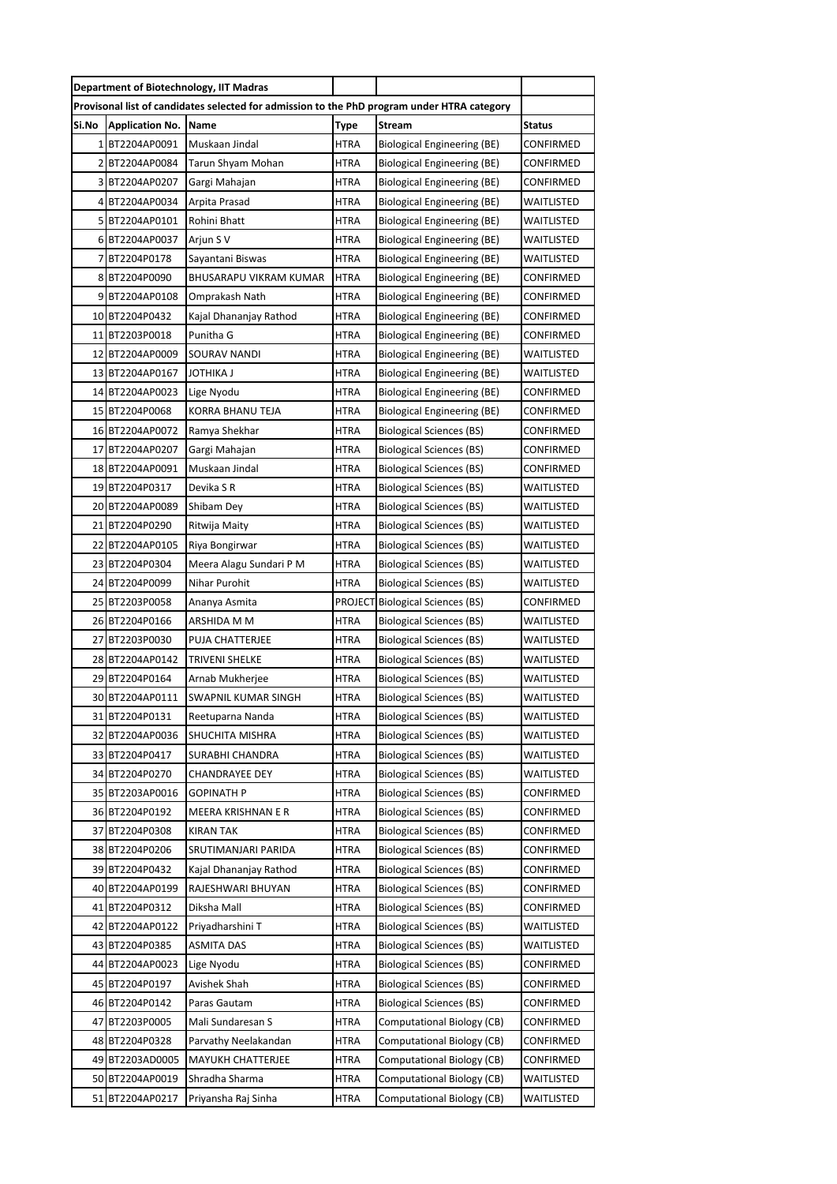|                                                                                             |                        | <b>Department of Biotechnology, IIT Madras</b> |             |                                         |                   |  |
|---------------------------------------------------------------------------------------------|------------------------|------------------------------------------------|-------------|-----------------------------------------|-------------------|--|
| Provisonal list of candidates selected for admission to the PhD program under HTRA category |                        |                                                |             |                                         |                   |  |
| Si.No                                                                                       | <b>Application No.</b> | Name                                           | <b>Type</b> | <b>Stream</b>                           | <b>Status</b>     |  |
|                                                                                             | 1 BT2204AP0091         | Muskaan Jindal                                 | HTRA        | <b>Biological Engineering (BE)</b>      | CONFIRMED         |  |
|                                                                                             | 2 BT2204AP0084         | Tarun Shyam Mohan                              | HTRA        | <b>Biological Engineering (BE)</b>      | CONFIRMED         |  |
|                                                                                             | 3 BT2204AP0207         | Gargi Mahajan                                  | HTRA        | <b>Biological Engineering (BE)</b>      | CONFIRMED         |  |
|                                                                                             | 4 BT2204AP0034         | Arpita Prasad                                  | HTRA        | <b>Biological Engineering (BE)</b>      | WAITLISTED        |  |
|                                                                                             | 5 BT2204AP0101         | Rohini Bhatt                                   | <b>HTRA</b> | <b>Biological Engineering (BE)</b>      | WAITLISTED        |  |
|                                                                                             | 6 BT2204AP0037         | Arjun S V                                      | <b>HTRA</b> | <b>Biological Engineering (BE)</b>      | WAITLISTED        |  |
|                                                                                             | 7BT2204P0178           | Sayantani Biswas                               | <b>HTRA</b> | <b>Biological Engineering (BE)</b>      | WAITLISTED        |  |
|                                                                                             | 8BT2204P0090           | BHUSARAPU VIKRAM KUMAR                         | HTRA        | Biological Engineering (BE)             | CONFIRMED         |  |
|                                                                                             | 9BT2204AP0108          | Omprakash Nath                                 | <b>HTRA</b> | Biological Engineering (BE)             | CONFIRMED         |  |
|                                                                                             | 10 BT2204P0432         | Kajal Dhananjay Rathod                         | <b>HTRA</b> | Biological Engineering (BE)             | CONFIRMED         |  |
|                                                                                             | 11 BT2203P0018         | Punitha G                                      | HTRA        | Biological Engineering (BE)             | CONFIRMED         |  |
|                                                                                             | 12 BT2204AP0009        | SOURAV NANDI                                   | HTRA        | Biological Engineering (BE)             | WAITLISTED        |  |
|                                                                                             | 13 BT2204AP0167        | JOTHIKA J                                      | HTRA        | Biological Engineering (BE)             | <b>WAITLISTED</b> |  |
|                                                                                             | 14 BT2204AP0023        | Lige Nyodu                                     | <b>HTRA</b> | Biological Engineering (BE)             | CONFIRMED         |  |
|                                                                                             | 15 BT2204P0068         | KORRA BHANU TEJA                               | <b>HTRA</b> | Biological Engineering (BE)             | CONFIRMED         |  |
|                                                                                             | 16 BT2204AP0072        | Ramya Shekhar                                  | HTRA        | Biological Sciences (BS)                | CONFIRMED         |  |
| 17 <sup>1</sup>                                                                             | BT2204AP0207           | Gargi Mahajan                                  | <b>HTRA</b> | Biological Sciences (BS)                | CONFIRMED         |  |
|                                                                                             | 18 BT2204AP0091        | Muskaan Jindal                                 | HTRA        | <b>Biological Sciences (BS)</b>         | CONFIRMED         |  |
|                                                                                             | 19 BT2204P0317         | Devika S R                                     | <b>HTRA</b> | Biological Sciences (BS)                | WAITLISTED        |  |
|                                                                                             | 20 BT2204AP0089        | Shibam Dey                                     | HTRA        | Biological Sciences (BS)                | WAITLISTED        |  |
|                                                                                             | 21 BT2204P0290         | Ritwija Maity                                  | HTRA        | Biological Sciences (BS)                | WAITLISTED        |  |
|                                                                                             | 22 BT2204AP0105        | Riya Bongirwar                                 | <b>HTRA</b> | Biological Sciences (BS)                | WAITLISTED        |  |
|                                                                                             | 23 BT2204P0304         | Meera Alagu Sundari P M                        | HTRA        | <b>Biological Sciences (BS)</b>         | WAITLISTED        |  |
|                                                                                             | 24 BT2204P0099         | Nihar Purohit                                  | HTRA        | Biological Sciences (BS)                | WAITLISTED        |  |
|                                                                                             | 25 BT2203P0058         | Ananya Asmita                                  |             | <b>PROJECT</b> Biological Sciences (BS) | CONFIRMED         |  |
|                                                                                             | 26 BT2204P0166         | ARSHIDA M M                                    | HTRA        | <b>Biological Sciences (BS)</b>         | WAITLISTED        |  |
|                                                                                             | 27 BT2203P0030         | PUJA CHATTERJEE                                | HTRA        | Biological Sciences (BS)                | WAITLISTED        |  |
|                                                                                             | 28 BT2204AP0142        | TRIVENI SHELKE                                 | HTRA        | <b>Biological Sciences (BS)</b>         | WAITLISTED        |  |
|                                                                                             | 29 BT2204P0164         | Arnab Mukherjee                                | <b>HTRA</b> | <b>Biological Sciences (BS)</b>         | WAITLISTED        |  |
|                                                                                             | 30 BT2204AP0111        | SWAPNIL KUMAR SINGH                            | <b>HTRA</b> | <b>Biological Sciences (BS)</b>         | <b>WAITLISTED</b> |  |
|                                                                                             | 31 BT2204P0131         | Reetuparna Nanda                               | <b>HTRA</b> | <b>Biological Sciences (BS)</b>         | WAITLISTED        |  |
|                                                                                             | 32 BT2204AP0036        | SHUCHITA MISHRA                                | HTRA        | <b>Biological Sciences (BS)</b>         | WAITLISTED        |  |
|                                                                                             | 33 BT2204P0417         | SURABHI CHANDRA                                | HTRA        | <b>Biological Sciences (BS)</b>         | WAITLISTED        |  |
|                                                                                             | 34 BT2204P0270         | CHANDRAYEE DEY                                 | HTRA        | Biological Sciences (BS)                | WAITLISTED        |  |
|                                                                                             | 35 BT2203AP0016        | GOPINATH P                                     | HTRA        | Biological Sciences (BS)                | CONFIRMED         |  |
|                                                                                             | 36 BT2204P0192         | MEERA KRISHNAN E R                             | HTRA        | Biological Sciences (BS)                | CONFIRMED         |  |
| 371                                                                                         | BT2204P0308            | KIRAN TAK                                      | HTRA        | Biological Sciences (BS)                | CONFIRMED         |  |
|                                                                                             | 38 BT2204P0206         | SRUTIMANJARI PARIDA                            | HTRA        | Biological Sciences (BS)                | CONFIRMED         |  |
|                                                                                             | 39 BT2204P0432         | Kajal Dhananjay Rathod                         | HTRA        | Biological Sciences (BS)                | CONFIRMED         |  |
| 40                                                                                          | BT2204AP0199           | RAJESHWARI BHUYAN                              | HTRA        | Biological Sciences (BS)                | CONFIRMED         |  |
|                                                                                             | 41 BT2204P0312         | Diksha Mall                                    | <b>HTRA</b> | Biological Sciences (BS)                | CONFIRMED         |  |
|                                                                                             | 42 BT2204AP0122        | Priyadharshini T                               | HTRA        | Biological Sciences (BS)                | WAITLISTED        |  |
|                                                                                             | 43 BT2204P0385         | ASMITA DAS                                     | HTRA        | Biological Sciences (BS)                | WAITLISTED        |  |
| 44                                                                                          | BT2204AP0023           | Lige Nyodu                                     | HTRA        | Biological Sciences (BS)                | CONFIRMED         |  |
|                                                                                             | 45 BT2204P0197         | Avishek Shah                                   | HTRA        | Biological Sciences (BS)                | CONFIRMED         |  |
|                                                                                             | 46 BT2204P0142         | Paras Gautam                                   | HTRA        | Biological Sciences (BS)                | CONFIRMED         |  |
|                                                                                             | 47 BT2203P0005         | Mali Sundaresan S                              | HTRA        | Computational Biology (CB)              | CONFIRMED         |  |
| 481                                                                                         | BT2204P0328            | Parvathy Neelakandan                           | HTRA        | Computational Biology (CB)              | CONFIRMED         |  |
|                                                                                             | 49 BT2203AD0005        | <b>MAYUKH CHATTERJEE</b>                       | HTRA        | Computational Biology (CB)              | CONFIRMED         |  |
|                                                                                             | 50 BT2204AP0019        | Shradha Sharma                                 | HTRA        | Computational Biology (CB)              | WAITLISTED        |  |
| 51                                                                                          | BT2204AP0217           | Priyansha Raj Sinha                            | HTRA        | <b>Computational Biology (CB)</b>       | WAITLISTED        |  |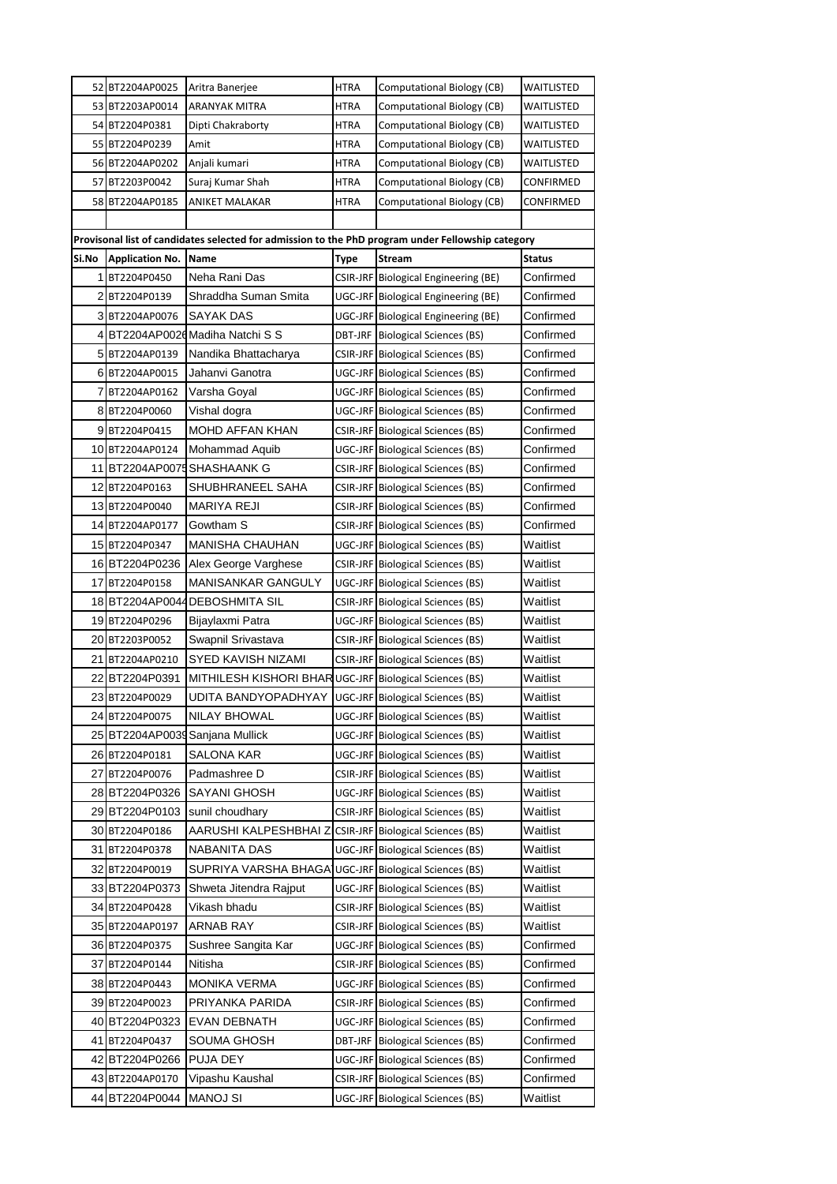|       | 52 BT2204AP0025                   | Aritra Banerjee                                                                                   | <b>HTRA</b> | Computational Biology (CB)               | WAITLISTED             |
|-------|-----------------------------------|---------------------------------------------------------------------------------------------------|-------------|------------------------------------------|------------------------|
|       | 53 BT2203AP0014                   | ARANYAK MITRA                                                                                     | <b>HTRA</b> | Computational Biology (CB)               | WAITLISTED             |
|       | 54 BT2204P0381                    | Dipti Chakraborty                                                                                 | HTRA        | Computational Biology (CB)               | WAITLISTED             |
|       | 55 BT2204P0239                    | Amit                                                                                              | HTRA        | Computational Biology (CB)               | WAITLISTED             |
|       | 56 BT2204AP0202                   | Anjali kumari                                                                                     | <b>HTRA</b> | Computational Biology (CB)               | WAITLISTED             |
|       | 57 BT2203P0042                    | Suraj Kumar Shah                                                                                  | HTRA        | Computational Biology (CB)               | CONFIRMED              |
|       | 58 BT2204AP0185                   | ANIKET MALAKAR                                                                                    | HTRA        | Computational Biology (CB)               | CONFIRMED              |
|       |                                   |                                                                                                   |             |                                          |                        |
|       |                                   | Provisonal list of candidates selected for admission to the PhD program under Fellowship category |             |                                          |                        |
| Si.No | <b>Application No.</b>            | Name                                                                                              | Type        | <b>Stream</b>                            | <b>Status</b>          |
|       | 1 BT2204P0450                     | Neha Rani Das                                                                                     |             | CSIR-JRF Biological Engineering (BE)     | Confirmed              |
|       | 2BT2204P0139                      | Shraddha Suman Smita                                                                              |             | UGC-JRF Biological Engineering (BE)      | Confirmed              |
|       | 3 BT2204AP0076                    | SAYAK DAS                                                                                         |             | UGC-JRF Biological Engineering (BE)      | Confirmed              |
|       |                                   | 4 BT2204AP0026 Madiha Natchi S S                                                                  |             | <b>DBT-JRF</b> Biological Sciences (BS)  | Confirmed              |
|       | 5 BT2204AP0139                    | Nandika Bhattacharya                                                                              |             | CSIR-JRF Biological Sciences (BS)        | Confirmed              |
|       | 6 BT2204AP0015                    | Jahanvi Ganotra                                                                                   |             | UGC-JRF Biological Sciences (BS)         | Confirmed              |
|       | 7 BT2204AP0162                    | Varsha Goyal                                                                                      |             | UGC-JRF Biological Sciences (BS)         | Confirmed              |
|       | 8 BT2204P0060                     | Vishal dogra                                                                                      |             | UGC-JRF Biological Sciences (BS)         | Confirmed              |
|       | 9 BT2204P0415                     | <b>MOHD AFFAN KHAN</b>                                                                            |             | <b>CSIR-JRF</b> Biological Sciences (BS) | Confirmed              |
|       | 10 BT2204AP0124                   | Mohammad Aquib                                                                                    |             | UGC-JRF Biological Sciences (BS)         | Confirmed              |
|       |                                   | 11 BT2204AP0075 SHASHAANK G                                                                       |             | CSIR-JRF Biological Sciences (BS)        | Confirmed              |
|       | 12BT2204P0163                     | SHUBHRANEEL SAHA                                                                                  |             | CSIR-JRF Biological Sciences (BS)        | Confirmed              |
|       | 13 BT2204P0040                    | MARIYA REJI                                                                                       |             | CSIR-JRF Biological Sciences (BS)        | Confirmed              |
|       | 14 BT2204AP0177                   | Gowtham S                                                                                         |             | CSIR-JRF Biological Sciences (BS)        | Confirmed              |
|       | 15 BT2204P0347                    | MANISHA CHAUHAN                                                                                   |             | UGC-JRF Biological Sciences (BS)         | Waitlist               |
|       | 16 BT2204P0236                    | Alex George Varghese                                                                              |             | CSIR-JRF Biological Sciences (BS)        | Waitlist               |
|       | 17 BT2204P0158                    | <b>MANISANKAR GANGULY</b>                                                                         |             | UGC-JRF Biological Sciences (BS)         | Waitlist               |
|       | 18 BT2204AP0044                   | <b>DEBOSHMITA SIL</b>                                                                             |             | <b>CSIR-JRF</b> Biological Sciences (BS) | Waitlist               |
|       | 19BT2204P0296                     | Bijaylaxmi Patra                                                                                  |             | <b>UGC-JRF</b> Biological Sciences (BS)  | Waitlist               |
|       | 20 BT2203P0052                    | Swapnil Srivastava                                                                                |             | <b>CSIR-JRF</b> Biological Sciences (BS) | Waitlist               |
|       | 21 BT2204AP0210                   | SYED KAVISH NIZAMI                                                                                |             | CSIR-JRF Biological Sciences (BS)        | Waitlist               |
|       | 22 BT2204P0391                    | MITHILESH KISHORI BHAR UGC-JRF Biological Sciences (BS)                                           |             |                                          | Waitlist               |
|       | 23 BT2204P0029                    | UDITA BANDYOPADHYAY                                                                               |             | UGC-JRF Biological Sciences (BS)         | Waitlist               |
|       | 24 BT2204P0075                    | NILAY BHOWAL                                                                                      |             | UGC-JRF Biological Sciences (BS)         | Waitlist               |
|       |                                   | 25 BT2204AP0039 Sanjana Mullick                                                                   |             | UGC-JRF Biological Sciences (BS)         | Waitlist               |
|       | 26 BT2204P0181                    | SALONA KAR                                                                                        |             | UGC-JRF Biological Sciences (BS)         | Waitlist               |
|       | 27 BT2204P0076                    | Padmashree D                                                                                      |             | CSIR-JRF Biological Sciences (BS)        | Waitlist               |
|       | 28 BT2204P0326                    | <b>SAYANI GHOSH</b>                                                                               |             | UGC-JRF Biological Sciences (BS)         | Waitlist               |
|       | 29 BT2204P0103                    | sunil choudhary                                                                                   |             | CSIR-JRF Biological Sciences (BS)        | Waitlist               |
|       | 30 BT2204P0186                    | AARUSHI KALPESHBHAI Z                                                                             |             | <b>CSIR-JRF</b> Biological Sciences (BS) | Waitlist               |
|       | 31 BT2204P0378                    | NABANITA DAS                                                                                      |             | UGC-JRF Biological Sciences (BS)         | Waitlist               |
|       | 32 BT2204P0019                    | SUPRIYA VARSHA BHAGA]                                                                             |             | UGC-JRF Biological Sciences (BS)         | Waitlist               |
|       | 33 BT2204P0373                    | Shweta Jitendra Rajput                                                                            |             | UGC-JRF Biological Sciences (BS)         | Waitlist<br>Waitlist   |
|       | 34 BT2204P0428<br>35 BT2204AP0197 | Vikash bhadu<br>ARNAB RAY                                                                         |             | CSIR-JRF Biological Sciences (BS)        | Waitlist               |
|       |                                   |                                                                                                   |             | CSIR-JRF Biological Sciences (BS)        |                        |
| 371   | 36 BT2204P0375<br>BT2204P0144     | Sushree Sangita Kar<br>Nitisha                                                                    |             | UGC-JRF Biological Sciences (BS)         | Confirmed<br>Confirmed |
|       |                                   |                                                                                                   |             | CSIR-JRF Biological Sciences (BS)        |                        |
|       | 38 BT2204P0443                    | <b>MONIKA VERMA</b>                                                                               |             | UGC-JRF Biological Sciences (BS)         | Confirmed              |
|       | 39 BT2204P0023                    | PRIYANKA PARIDA<br>EVAN DEBNATH                                                                   |             | CSIR-JRF Biological Sciences (BS)        | Confirmed<br>Confirmed |
|       | 40 BT2204P0323                    |                                                                                                   |             | UGC-JRF Biological Sciences (BS)         | Confirmed              |
|       | 41 BT2204P0437<br>42 BT2204P0266  | SOUMA GHOSH<br>PUJA DEY                                                                           |             | <b>DBT-JRF</b> Biological Sciences (BS)  | Confirmed              |
|       | 43 BT2204AP0170                   | Vipashu Kaushal                                                                                   |             | UGC-JRF Biological Sciences (BS)         | Confirmed              |
| 44    | BT2204P0044                       | MANOJ SI                                                                                          |             | CSIR-JRF Biological Sciences (BS)        | Waitlist               |
|       |                                   |                                                                                                   |             | UGC-JRF Biological Sciences (BS)         |                        |